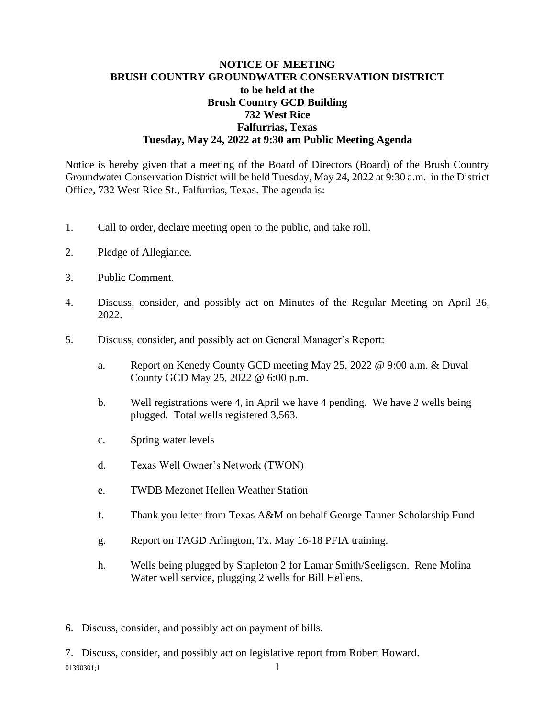## **NOTICE OF MEETING BRUSH COUNTRY GROUNDWATER CONSERVATION DISTRICT to be held at the Brush Country GCD Building 732 West Rice Falfurrias, Texas Tuesday, May 24, 2022 at 9:30 am Public Meeting Agenda**

Notice is hereby given that a meeting of the Board of Directors (Board) of the Brush Country Groundwater Conservation District will be held Tuesday, May 24, 2022 at 9:30 a.m. in the District Office, 732 West Rice St., Falfurrias, Texas. The agenda is:

- 1. Call to order, declare meeting open to the public, and take roll.
- 2. Pledge of Allegiance.
- 3. Public Comment.
- 4. Discuss, consider, and possibly act on Minutes of the Regular Meeting on April 26, 2022.
- 5. Discuss, consider, and possibly act on General Manager's Report:
	- a. Report on Kenedy County GCD meeting May 25, 2022 @ 9:00 a.m. & Duval County GCD May 25, 2022 @ 6:00 p.m.
	- b. Well registrations were 4, in April we have 4 pending. We have 2 wells being plugged. Total wells registered 3,563.
	- c. Spring water levels
	- d. Texas Well Owner's Network (TWON)
	- e. TWDB Mezonet Hellen Weather Station
	- f. Thank you letter from Texas A&M on behalf George Tanner Scholarship Fund
	- g. Report on TAGD Arlington, Tx. May 16-18 PFIA training.
	- h. Wells being plugged by Stapleton 2 for Lamar Smith/Seeligson. Rene Molina Water well service, plugging 2 wells for Bill Hellens.
- 6. Discuss, consider, and possibly act on payment of bills.

 $01390301:1$  1 7. Discuss, consider, and possibly act on legislative report from Robert Howard.